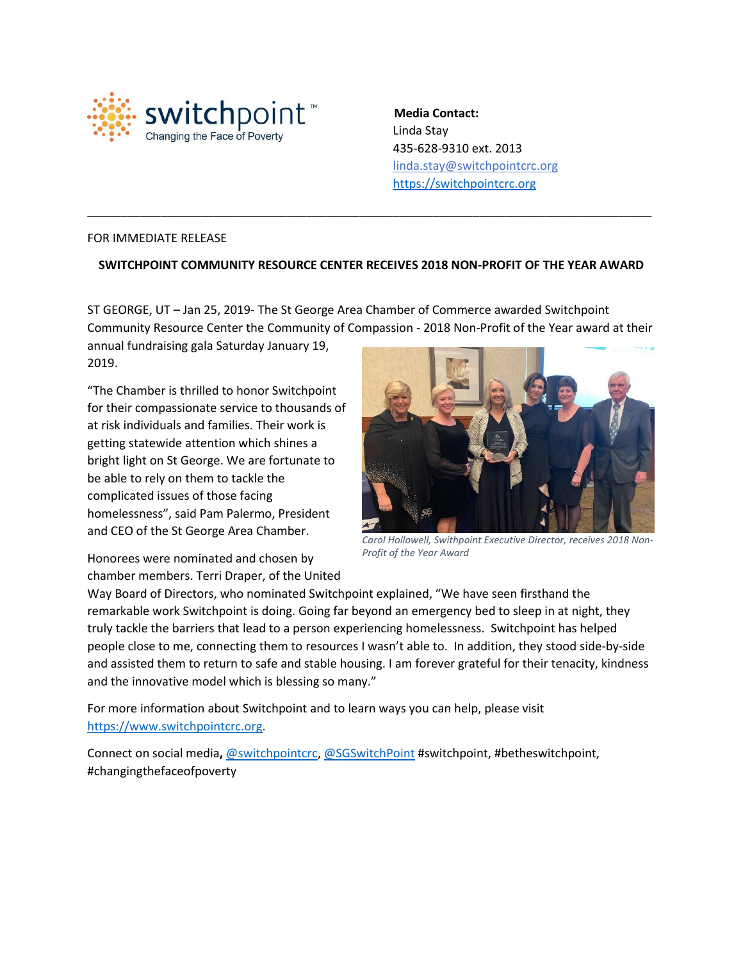

 **Media Contact:** Linda Stay 435-628-9310 ext. 2013 linda.stay@switchpointcrc.org [https://switchpointcrc.org](https://switchpointcrc.org/)

## FOR IMMEDIATE RELEASE

## **SWITCHPOINT COMMUNITY RESOURCE CENTER RECEIVES 2018 NON-PROFIT OF THE YEAR AWARD**

\_\_\_\_\_\_\_\_\_\_\_\_\_\_\_\_\_\_\_\_\_\_\_\_\_\_\_\_\_\_\_\_\_\_\_\_\_\_\_\_\_\_\_\_\_\_\_\_\_\_\_\_\_\_\_\_\_\_\_\_\_\_\_\_\_\_\_\_\_\_\_\_\_\_\_\_\_\_\_\_\_\_\_\_\_

ST GEORGE, UT – Jan 25, 2019- The St George Area Chamber of Commerce awarded Switchpoint Community Resource Center the Community of Compassion - 2018 Non-Profit of the Year award at their

annual fundraising gala Saturday January 19, 2019.

"The Chamber is thrilled to honor Switchpoint for their compassionate service to thousands of at risk individuals and families. Their work is getting statewide attention which shines a bright light on St George. We are fortunate to be able to rely on them to tackle the complicated issues of those facing homelessness", said Pam Palermo, President and CEO of the St George Area Chamber.



*Carol Hollowell, Swithpoint Executive Director, receives 2018 Non-Profit of the Year Award*

Honorees were nominated and chosen by chamber members. Terri Draper, of the United

Way Board of Directors, who nominated Switchpoint explained, "We have seen firsthand the remarkable work Switchpoint is doing. Going far beyond an emergency bed to sleep in at night, they truly tackle the barriers that lead to a person experiencing homelessness. Switchpoint has helped people close to me, connecting them to resources I wasn't able to. In addition, they stood side-by-side and assisted them to return to safe and stable housing. I am forever grateful for their tenacity, kindness and the innovative model which is blessing so many."

For more information about Switchpoint and to learn ways you can help, please visit [https://www.switchpointcrc.org.](https://www.switchpointcrc.org/)

Connect on social media**,** [@switchpointcrc,](https://twitter.com/switchpointcrc) [@SGSwitchPoint](https://www.facebook.com/squattypotty/) #switchpoint, #betheswitchpoint, #changingthefaceofpoverty